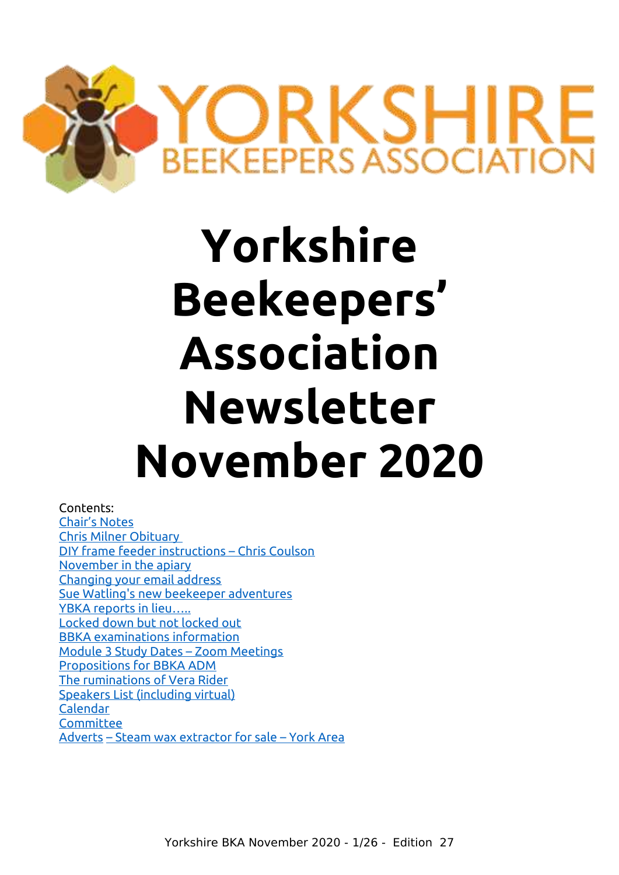

# **Yorkshire Beekeepers' Association Newsletter November 2020**

Contents: [Chair's Notes](#page-1-0) [Chris Milner Obituary](#page-2-0)  [DIY frame feeder instructions – Chris Coulson](#page-3-0) [November in the apiary](#page-5-0) [Changing your email address](#page-6-0) [Sue Watling's new beekeeper adventures](#page-7-0) YBKA reports in lieu..... [Locked down but not locked out](#page-10-0) [BBKA examinations information](#page-11-0) [Module 3 Study Dates – Zoom Meetings](#page-12-0) [Propositions for BBKA ADM](#page-12-1) [The ruminations of Vera Rider](#page-13-0) Speakers List (including virtual) [Calendar](#page-21-1) **[Committee](#page-21-1)** [Adverts](#page-21-0) [– Steam wax extractor for sale – York Area](#page-21-0)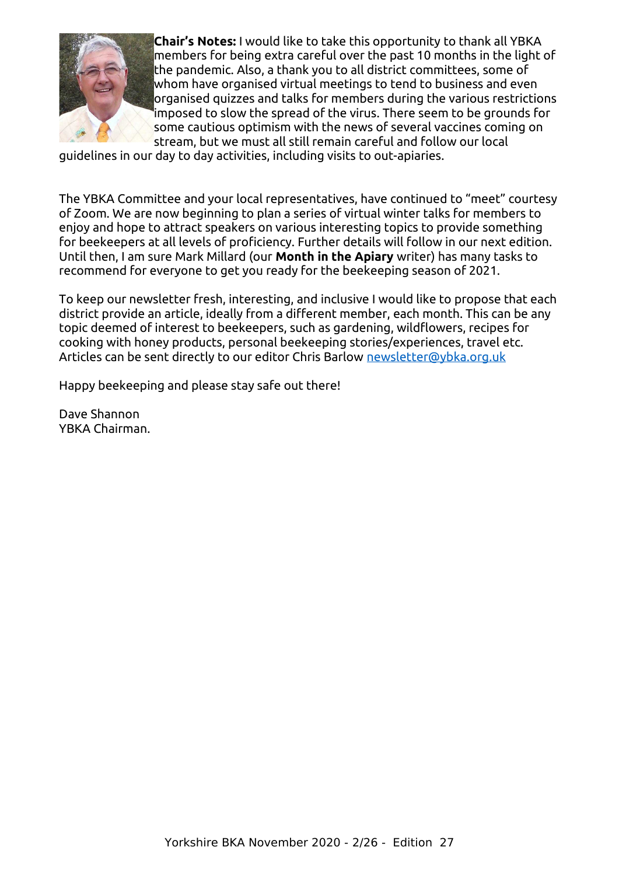

<span id="page-1-0"></span>**Chair's Notes:** I would like to take this opportunity to thank all YBKA members for being extra careful over the past 10 months in the light of the pandemic. Also, a thank you to all district committees, some of whom have organised virtual meetings to tend to business and even organised quizzes and talks for members during the various restrictions imposed to slow the spread of the virus. There seem to be grounds for some cautious optimism with the news of several vaccines coming on stream, but we must all still remain careful and follow our local

guidelines in our day to day activities, including visits to out-apiaries.

The YBKA Committee and your local representatives, have continued to "meet" courtesy of Zoom. We are now beginning to plan a series of virtual winter talks for members to enjoy and hope to attract speakers on various interesting topics to provide something for beekeepers at all levels of proficiency. Further details will follow in our next edition. Until then, I am sure Mark Millard (our **Month in the Apiary** writer) has many tasks to recommend for everyone to get you ready for the beekeeping season of 2021.

To keep our newsletter fresh, interesting, and inclusive I would like to propose that each district provide an article, ideally from a different member, each month. This can be any topic deemed of interest to beekeepers, such as gardening, wildflowers, recipes for cooking with honey products, personal beekeeping stories/experiences, travel etc. Articles can be sent directly to our editor Chris Barlow [newsletter@ybka.org.uk](mailto:newsletter@ybka.org.uk)

Happy beekeeping and please stay safe out there!

Dave Shannon YBKA Chairman.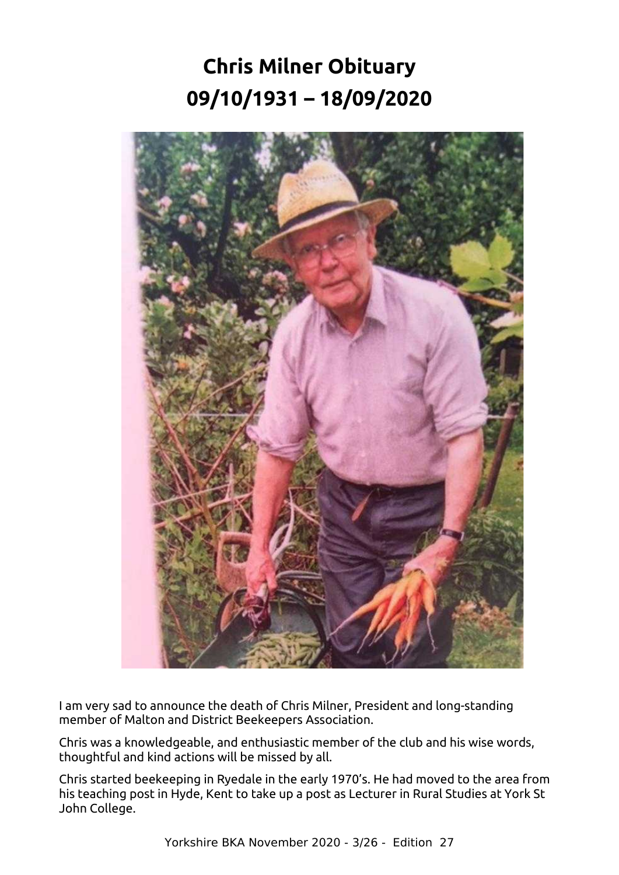# <span id="page-2-0"></span>**Chris Milner Obituary 09/10/1931 – 18/09/2020**



I am very sad to announce the death of Chris Milner, President and long-standing member of Malton and District Beekeepers Association.

Chris was a knowledgeable, and enthusiastic member of the club and his wise words, thoughtful and kind actions will be missed by all.

Chris started beekeeping in Ryedale in the early 1970's. He had moved to the area from his teaching post in Hyde, Kent to take up a post as Lecturer in Rural Studies at York St John College.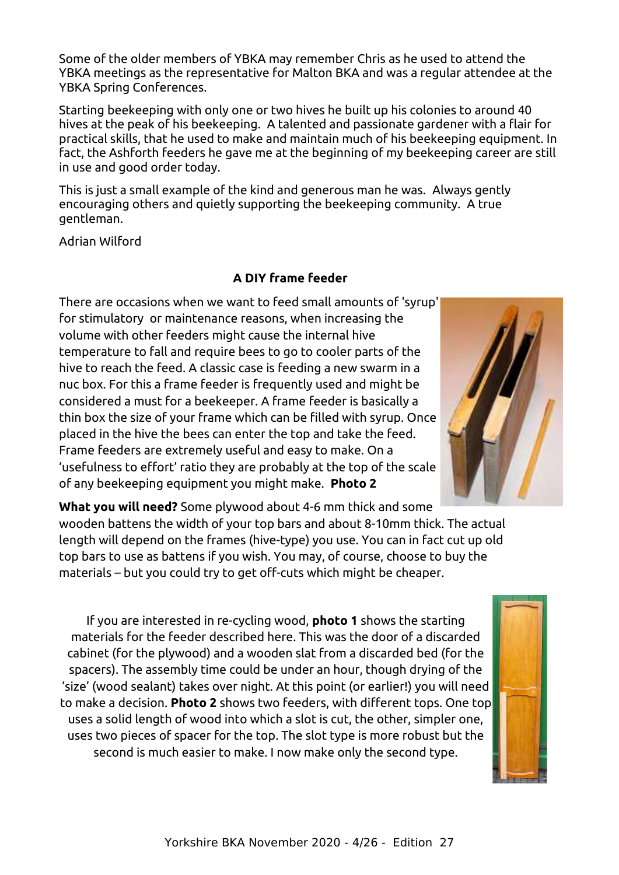Some of the older members of YBKA may remember Chris as he used to attend the YBKA meetings as the representative for Malton BKA and was a regular attendee at the YBKA Spring Conferences.

Starting beekeeping with only one or two hives he built up his colonies to around 40 hives at the peak of his beekeeping. A talented and passionate gardener with a flair for practical skills, that he used to make and maintain much of his beekeeping equipment. In fact, the Ashforth feeders he gave me at the beginning of my beekeeping career are still in use and good order today.

This is just a small example of the kind and generous man he was. Always gently encouraging others and quietly supporting the beekeeping community. A true gentleman.

Adrian Wilford

#### **A DIY frame feeder**

<span id="page-3-0"></span>There are occasions when we want to feed small amounts of 'syrup' for stimulatory or maintenance reasons, when increasing the volume with other feeders might cause the internal hive temperature to fall and require bees to go to cooler parts of the hive to reach the feed. A classic case is feeding a new swarm in a nuc box. For this a frame feeder is frequently used and might be considered a must for a beekeeper. A frame feeder is basically a thin box the size of your frame which can be filled with syrup. Once placed in the hive the bees can enter the top and take the feed. Frame feeders are extremely useful and easy to make. On a 'usefulness to effort' ratio they are probably at the top of the scale of any beekeeping equipment you might make. **Photo 2**

**What you will need?** Some plywood about 4-6 mm thick and some wooden battens the width of your top bars and about 8-10mm thick. The actual length will depend on the frames (hive-type) you use. You can in fact cut up old top bars to use as battens if you wish. You may, of course, choose to buy the materials – but you could try to get off-cuts which might be cheaper.

If you are interested in re-cycling wood, **photo 1** shows the starting materials for the feeder described here. This was the door of a discarded cabinet (for the plywood) and a wooden slat from a discarded bed (for the spacers). The assembly time could be under an hour, though drying of the 'size' (wood sealant) takes over night. At this point (or earlier!) you will need to make a decision. **Photo 2** shows two feeders, with different tops. One top uses a solid length of wood into which a slot is cut, the other, simpler one, uses two pieces of spacer for the top. The slot type is more robust but the second is much easier to make. I now make only the second type.



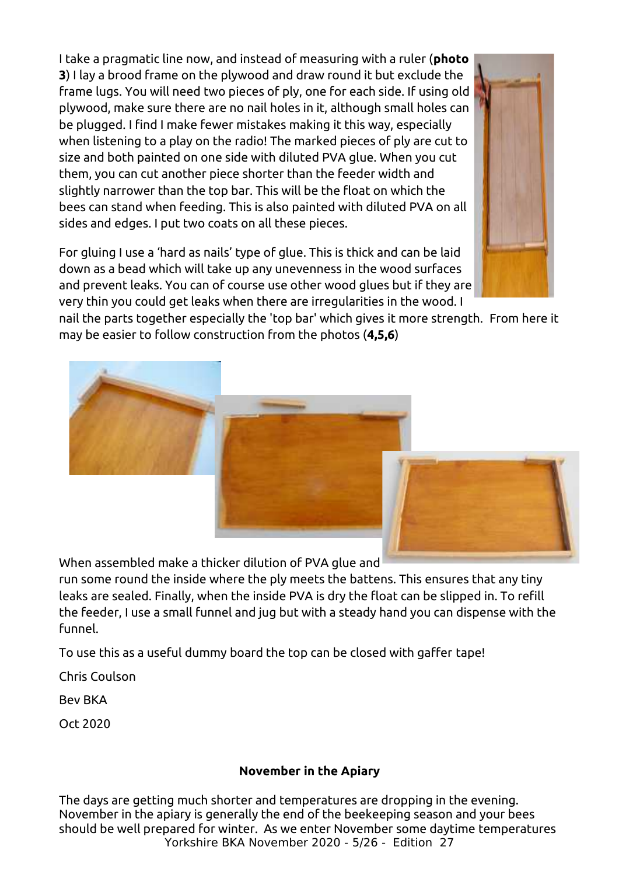I take a pragmatic line now, and instead of measuring with a ruler (**photo 3**) I lay a brood frame on the plywood and draw round it but exclude the frame lugs. You will need two pieces of ply, one for each side. If using old plywood, make sure there are no nail holes in it, although small holes can be plugged. I find I make fewer mistakes making it this way, especially when listening to a play on the radio! The marked pieces of ply are cut to size and both painted on one side with diluted PVA glue. When you cut them, you can cut another piece shorter than the feeder width and slightly narrower than the top bar. This will be the float on which the bees can stand when feeding. This is also painted with diluted PVA on all sides and edges. I put two coats on all these pieces.

For gluing I use a 'hard as nails' type of glue. This is thick and can be laid down as a bead which will take up any unevenness in the wood surfaces and prevent leaks. You can of course use other wood glues but if they are very thin you could get leaks when there are irregularities in the wood. I

nail the parts together especially the 'top bar' which gives it more strength. From here it may be easier to follow construction from the photos (**4,5,6**)

When assembled make a thicker dilution of PVA glue and

run some round the inside where the ply meets the battens. This ensures that any tiny leaks are sealed. Finally, when the inside PVA is dry the float can be slipped in. To refill the feeder, I use a small funnel and jug but with a steady hand you can dispense with the funnel.

To use this as a useful dummy board the top can be closed with gaffer tape!

Chris Coulson

Bev BKA

Oct 2020

#### **November in the Apiary**

The days are getting much shorter and temperatures are dropping in the evening. November in the apiary is generally the end of the beekeeping season and your bees should be well prepared for winter. As we enter November some daytime temperatures Yorkshire BKA November 2020 - 5/26 - Edition 27





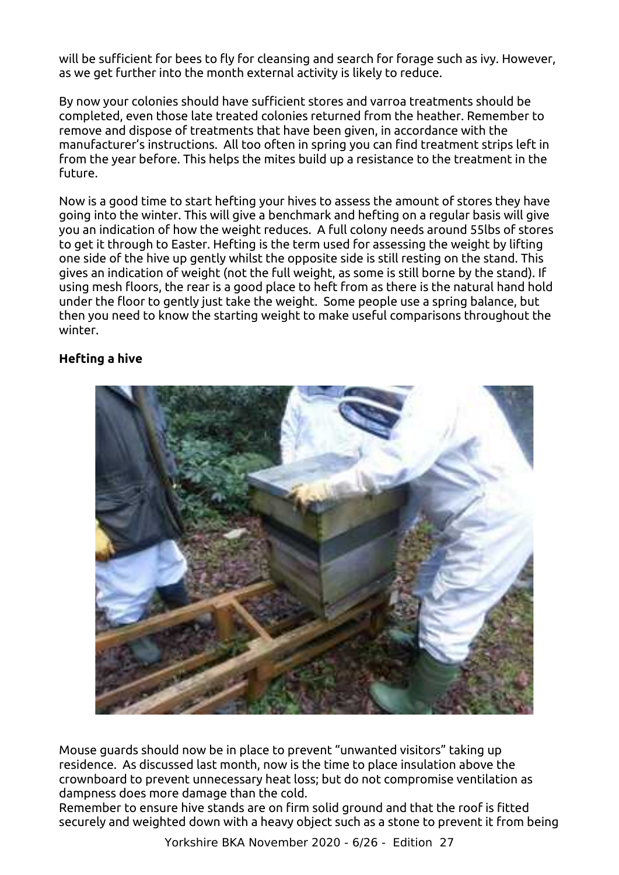will be sufficient for bees to fly for cleansing and search for forage such as ivy. However, as we get further into the month external activity is likely to reduce.

<span id="page-5-0"></span>By now your colonies should have sufficient stores and varroa treatments should be completed, even those late treated colonies returned from the heather. Remember to remove and dispose of treatments that have been given, in accordance with the manufacturer's instructions. All too often in spring you can find treatment strips left in from the year before. This helps the mites build up a resistance to the treatment in the future.

Now is a good time to start hefting your hives to assess the amount of stores they have going into the winter. This will give a benchmark and hefting on a regular basis will give you an indication of how the weight reduces. A full colony needs around 55lbs of stores to get it through to Easter. Hefting is the term used for assessing the weight by lifting one side of the hive up gently whilst the opposite side is still resting on the stand. This gives an indication of weight (not the full weight, as some is still borne by the stand). If using mesh floors, the rear is a good place to heft from as there is the natural hand hold under the floor to gently just take the weight. Some people use a spring balance, but then you need to know the starting weight to make useful comparisons throughout the winter.

#### **Hefting a hive**



Mouse guards should now be in place to prevent "unwanted visitors" taking up residence. As discussed last month, now is the time to place insulation above the crownboard to prevent unnecessary heat loss; but do not compromise ventilation as dampness does more damage than the cold.

Remember to ensure hive stands are on firm solid ground and that the roof is fitted securely and weighted down with a heavy object such as a stone to prevent it from being

Yorkshire BKA November 2020 - 6/26 - Edition 27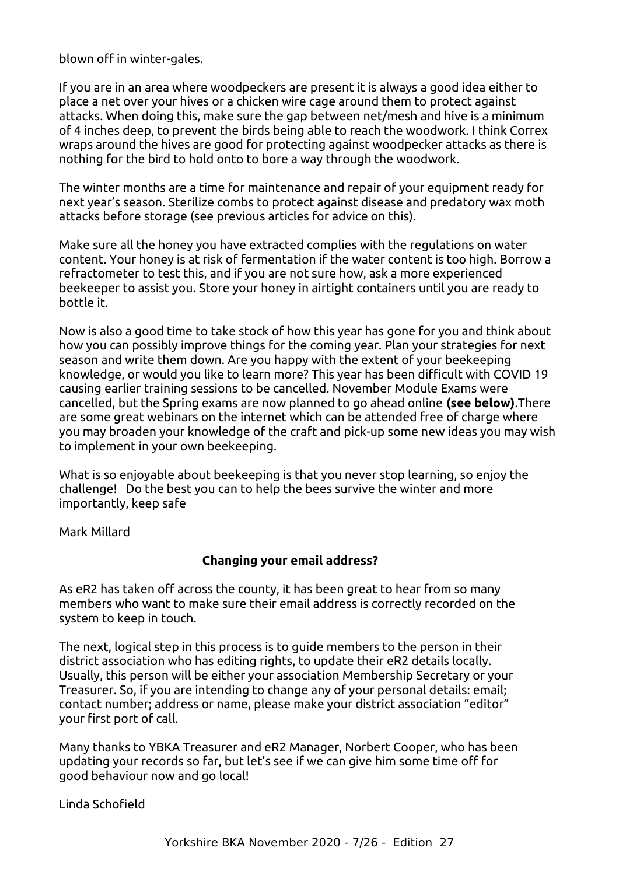blown off in winter-gales.

If you are in an area where woodpeckers are present it is always a good idea either to place a net over your hives or a chicken wire cage around them to protect against attacks. When doing this, make sure the gap between net/mesh and hive is a minimum of 4 inches deep, to prevent the birds being able to reach the woodwork. I think Correx wraps around the hives are good for protecting against woodpecker attacks as there is nothing for the bird to hold onto to bore a way through the woodwork.

The winter months are a time for maintenance and repair of your equipment ready for next year's season. Sterilize combs to protect against disease and predatory wax moth attacks before storage (see previous articles for advice on this).

Make sure all the honey you have extracted complies with the regulations on water content. Your honey is at risk of fermentation if the water content is too high. Borrow a refractometer to test this, and if you are not sure how, ask a more experienced beekeeper to assist you. Store your honey in airtight containers until you are ready to bottle it.

Now is also a good time to take stock of how this year has gone for you and think about how you can possibly improve things for the coming year. Plan your strategies for next season and write them down. Are you happy with the extent of your beekeeping knowledge, or would you like to learn more? This year has been difficult with COVID 19 causing earlier training sessions to be cancelled. November Module Exams were cancelled, but the Spring exams are now planned to go ahead online **(see below)**.There are some great webinars on the internet which can be attended free of charge where you may broaden your knowledge of the craft and pick-up some new ideas you may wish to implement in your own beekeeping.

What is so enjoyable about beekeeping is that you never stop learning, so enjoy the challenge! Do the best you can to help the bees survive the winter and more importantly, keep safe

Mark Millard

#### **Changing your email address?**

As eR2 has taken off across the county, it has been great to hear from so many members who want to make sure their email address is correctly recorded on the system to keep in touch.

<span id="page-6-0"></span>The next, logical step in this process is to guide members to the person in their district association who has editing rights, to update their eR2 details locally. Usually, this person will be either your association Membership Secretary or your Treasurer. So, if you are intending to change any of your personal details: email; contact number; address or name, please make your district association "editor" your first port of call.

Many thanks to YBKA Treasurer and eR2 Manager, Norbert Cooper, who has been updating your records so far, but let's see if we can give him some time off for good behaviour now and go local!

Linda Schofield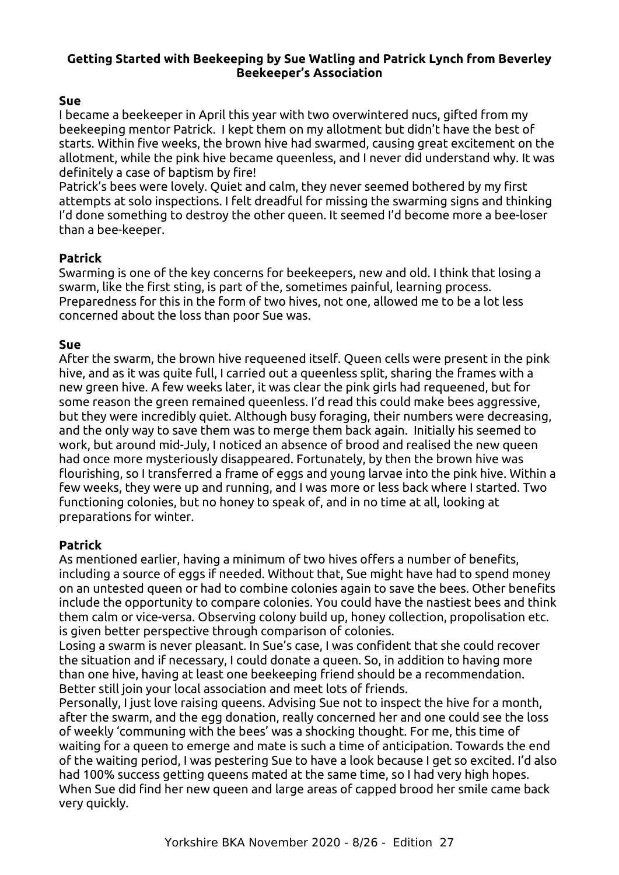#### <span id="page-7-0"></span>**Getting Started with Beekeeping by Sue Watling and Patrick Lynch from Beverley Beekeeper's Association**

#### **Sue**

I became a beekeeper in April this year with two overwintered nucs, gifted from my beekeeping mentor Patrick. I kept them on my allotment but didn't have the best of starts. Within five weeks, the brown hive had swarmed, causing great excitement on the allotment, while the pink hive became queenless, and I never did understand why. It was definitely a case of baptism by fire!

Patrick's bees were lovely. Quiet and calm, they never seemed bothered by my first attempts at solo inspections. I felt dreadful for missing the swarming signs and thinking I'd done something to destroy the other queen. It seemed I'd become more a bee-loser than a bee-keeper.

#### **Patrick**

Swarming is one of the key concerns for beekeepers, new and old. I think that losing a swarm, like the first sting, is part of the, sometimes painful, learning process. Preparedness for this in the form of two hives, not one, allowed me to be a lot less concerned about the loss than poor Sue was.

#### **Sue**

After the swarm, the brown hive requeened itself. Queen cells were present in the pink hive, and as it was quite full, I carried out a queenless split, sharing the frames with a new green hive. A few weeks later, it was clear the pink girls had requeened, but for some reason the green remained queenless. I'd read this could make bees aggressive, but they were incredibly quiet. Although busy foraging, their numbers were decreasing, and the only way to save them was to merge them back again. Initially his seemed to work, but around mid-July, I noticed an absence of brood and realised the new queen had once more mysteriously disappeared. Fortunately, by then the brown hive was flourishing, so I transferred a frame of eggs and young larvae into the pink hive. Within a few weeks, they were up and running, and I was more or less back where I started. Two functioning colonies, but no honey to speak of, and in no time at all, looking at preparations for winter.

#### **Patrick**

As mentioned earlier, having a minimum of two hives offers a number of benefits, including a source of eggs if needed. Without that, Sue might have had to spend money on an untested queen or had to combine colonies again to save the bees. Other benefits include the opportunity to compare colonies. You could have the nastiest bees and think them calm or vice-versa. Observing colony build up, honey collection, propolisation etc. is given better perspective through comparison of colonies.

Losing a swarm is never pleasant. In Sue's case, I was confident that she could recover the situation and if necessary, I could donate a queen. So, in addition to having more than one hive, having at least one beekeeping friend should be a recommendation. Better still join your local association and meet lots of friends.

Personally, I just love raising queens. Advising Sue not to inspect the hive for a month, after the swarm, and the egg donation, really concerned her and one could see the loss of weekly 'communing with the bees' was a shocking thought. For me, this time of waiting for a queen to emerge and mate is such a time of anticipation. Towards the end of the waiting period, I was pestering Sue to have a look because I get so excited. I'd also had 100% success getting queens mated at the same time, so I had very high hopes. When Sue did find her new queen and large areas of capped brood her smile came back very quickly.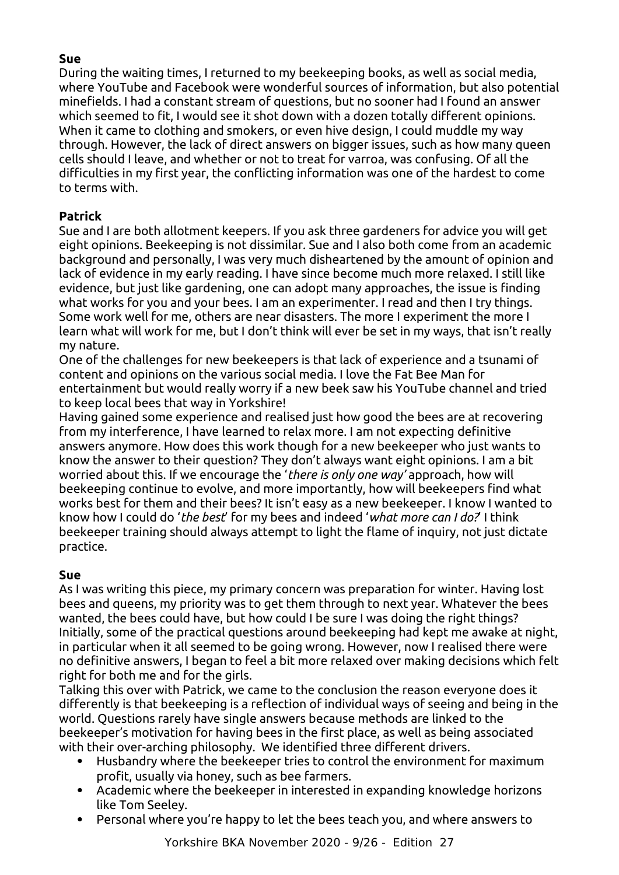#### **Sue**

During the waiting times, I returned to my beekeeping books, as well as social media, where YouTube and Facebook were wonderful sources of information, but also potential minefields. I had a constant stream of questions, but no sooner had I found an answer which seemed to fit, I would see it shot down with a dozen totally different opinions. When it came to clothing and smokers, or even hive design, I could muddle my way through. However, the lack of direct answers on bigger issues, such as how many queen cells should I leave, and whether or not to treat for varroa, was confusing. Of all the difficulties in my first year, the conflicting information was one of the hardest to come to terms with.

#### **Patrick**

Sue and I are both allotment keepers. If you ask three gardeners for advice you will get eight opinions. Beekeeping is not dissimilar. Sue and I also both come from an academic background and personally, I was very much disheartened by the amount of opinion and lack of evidence in my early reading. I have since become much more relaxed. I still like evidence, but just like gardening, one can adopt many approaches, the issue is finding what works for you and your bees. I am an experimenter. I read and then I try things. Some work well for me, others are near disasters. The more I experiment the more I learn what will work for me, but I don't think will ever be set in my ways, that isn't really my nature.

One of the challenges for new beekeepers is that lack of experience and a tsunami of content and opinions on the various social media. I love the Fat Bee Man for entertainment but would really worry if a new beek saw his YouTube channel and tried to keep local bees that way in Yorkshire!

Having gained some experience and realised just how good the bees are at recovering from my interference, I have learned to relax more. I am not expecting definitive answers anymore. How does this work though for a new beekeeper who just wants to know the answer to their question? They don't always want eight opinions. I am a bit worried about this. If we encourage the '*there is only one way'* approach, how will beekeeping continue to evolve, and more importantly, how will beekeepers find what works best for them and their bees? It isn't easy as a new beekeeper. I know I wanted to know how I could do '*the best*' for my bees and indeed '*what more can I do?*' I think beekeeper training should always attempt to light the flame of inquiry, not just dictate practice.

#### **Sue**

As I was writing this piece, my primary concern was preparation for winter. Having lost bees and queens, my priority was to get them through to next year. Whatever the bees wanted, the bees could have, but how could I be sure I was doing the right things? Initially, some of the practical questions around beekeeping had kept me awake at night, in particular when it all seemed to be going wrong. However, now I realised there were no definitive answers, I began to feel a bit more relaxed over making decisions which felt right for both me and for the girls.

Talking this over with Patrick, we came to the conclusion the reason everyone does it differently is that beekeeping is a reflection of individual ways of seeing and being in the world. Questions rarely have single answers because methods are linked to the beekeeper's motivation for having bees in the first place, as well as being associated with their over-arching philosophy. We identified three different drivers.

- Husbandry where the beekeeper tries to control the environment for maximum profit, usually via honey, such as bee farmers.
- Academic where the beekeeper in interested in expanding knowledge horizons like Tom Seeley.
- Personal where you're happy to let the bees teach you, and where answers to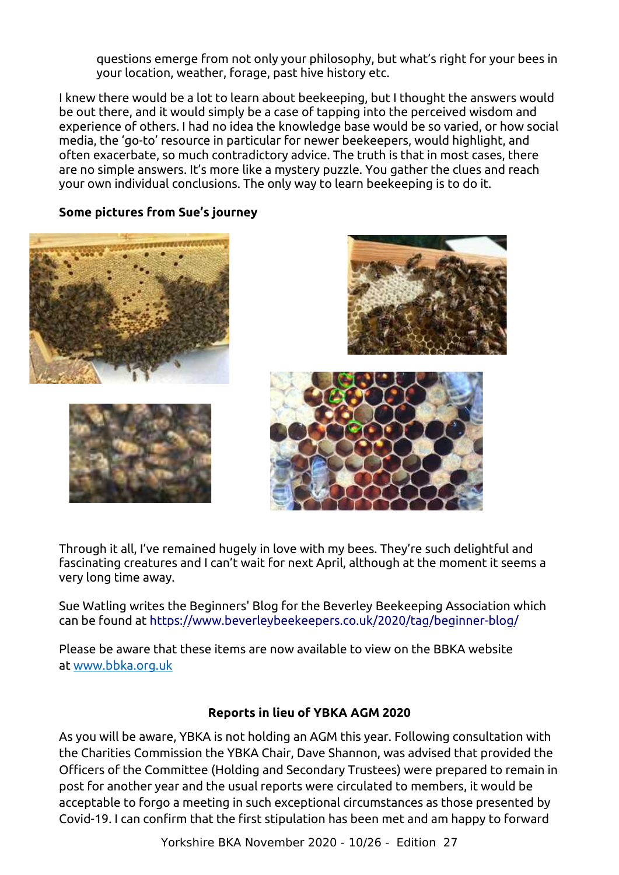questions emerge from not only your philosophy, but what's right for your bees in your location, weather, forage, past hive history etc.

I knew there would be a lot to learn about beekeeping, but I thought the answers would be out there, and it would simply be a case of tapping into the perceived wisdom and experience of others. I had no idea the knowledge base would be so varied, or how social media, the 'go-to' resource in particular for newer beekeepers, would highlight, and often exacerbate, so much contradictory advice. The truth is that in most cases, there are no simple answers. It's more like a mystery puzzle. You gather the clues and reach your own individual conclusions. The only way to learn beekeeping is to do it.

#### **Some pictures from Sue's journey**









Through it all, I've remained hugely in love with my bees. They're such delightful and fascinating creatures and I can't wait for next April, although at the moment it seems a very long time away.

Sue Watling writes the Beginners' Blog for the Beverley Beekeeping Association which can be found at https://www.beverleybeekeepers.co.uk/2020/tag/beginner-blog/

Please be aware that these items are now available to view on the BBKA website at [www.bbka.org.uk](http://link.membershipservices.org.uk/ls/click?upn=VOcjWEeGD1xYN1SiXUf7v-2B2e4TxZO9G3hu1xuv5e8cc-3D9cVd_WaGWCl8ZicchHYPzLe-2BL2RvOY9hbi-2BD-2Ben1N2YEU8dLV-2BqHmGGF10PlshGj6xcEyq8Wc8zMFeEafsXCcuGyyCi9LKhOjQp6SbR9Lq2ujzJWrTwkbNghldbxmFfnPvsebcbkAgY3apCIM2wL3h4vDf85-2F00BsjO42cEdFLp0TYP9WbOeADGbe3LGfK1DUCEjcD-2B7-2FyRlCHo9wQeXq0cZj9ZSHD1wjf5dcDtNfgm-2FkzhYHFjTEy3-2BqRNw49weGMWNiKXJ18-2FUoeSPaKz0DEBplem9RYviOJTbrFAF7bwi18yl4tkLMqaLGv4AftU5Qvu9KdCQUa2RmLhTVDXlhRp4AhQ-3D-3D)

#### **Reports in lieu of YBKA AGM 2020**

<span id="page-9-0"></span>As you will be aware, YBKA is not holding an AGM this year. Following consultation with the Charities Commission the YBKA Chair, Dave Shannon, was advised that provided the Officers of the Committee (Holding and Secondary Trustees) were prepared to remain in post for another year and the usual reports were circulated to members, it would be acceptable to forgo a meeting in such exceptional circumstances as those presented by Covid-19. I can confirm that the first stipulation has been met and am happy to forward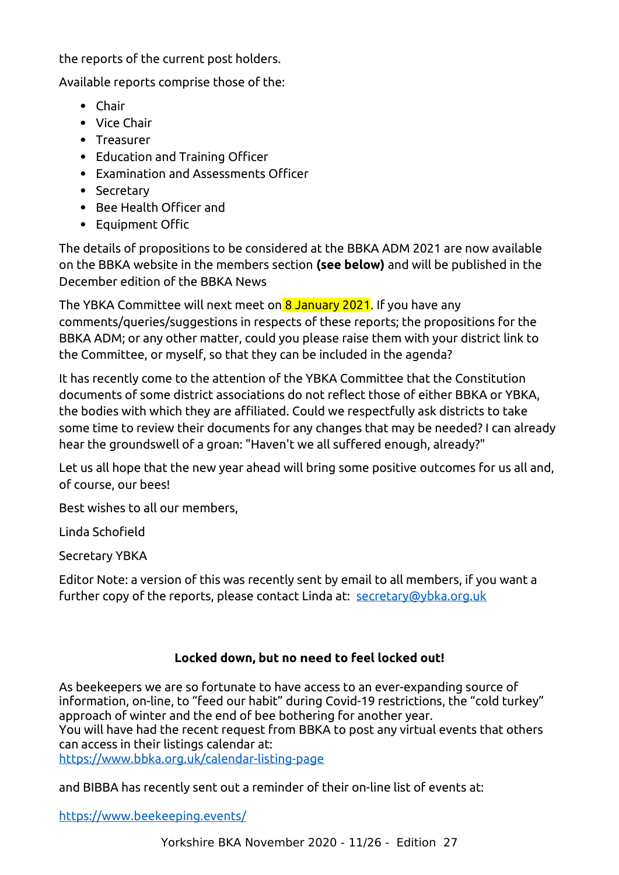the reports of the current post holders.

Available reports comprise those of the:

- Chair
- Vice Chair
- Treasurer
- Education and Training Officer
- Examination and Assessments Officer
- Secretary
- Bee Health Officer and
- Equipment Offic

The details of propositions to be considered at the BBKA ADM 2021 are now available on the BBKA website in the members section **(see below)** and will be published in the December edition of the BBKA News

The YBKA Committee will next meet on 8 January 2021. If you have any comments/queries/suggestions in respects of these reports; the propositions for the BBKA ADM; or any other matter, could you please raise them with your district link to the Committee, or myself, so that they can be included in the agenda?

It has recently come to the attention of the YBKA Committee that the Constitution documents of some district associations do not reflect those of either BBKA or YBKA, the bodies with which they are affiliated. Could we respectfully ask districts to take some time to review their documents for any changes that may be needed? I can already hear the groundswell of a groan: "Haven't we all suffered enough, already?"

Let us all hope that the new year ahead will bring some positive outcomes for us all and, of course, our bees!

Best wishes to all our members,

Linda Schofield

Secretary YBKA

Editor Note: a version of this was recently sent by email to all members, if you want a further copy of the reports, please contact Linda at: [secretary@ybka.org.uk](mailto:secretary@ybka.org.uk)

# <span id="page-10-0"></span>**Locked down, but no need to feel locked out!**

As beekeepers we are so fortunate to have access to an ever-expanding source of information, on-line, to "feed our habit" during Covid-19 restrictions, the "cold turkey" approach of winter and the end of bee bothering for another year. You will have had the recent request from BBKA to post any virtual events that others can access in their listings calendar at:

<https://www.bbka.org.uk/calendar-listing-page>

and BIBBA has recently sent out a reminder of their on-line list of events at:

<https://www.beekeeping.events/>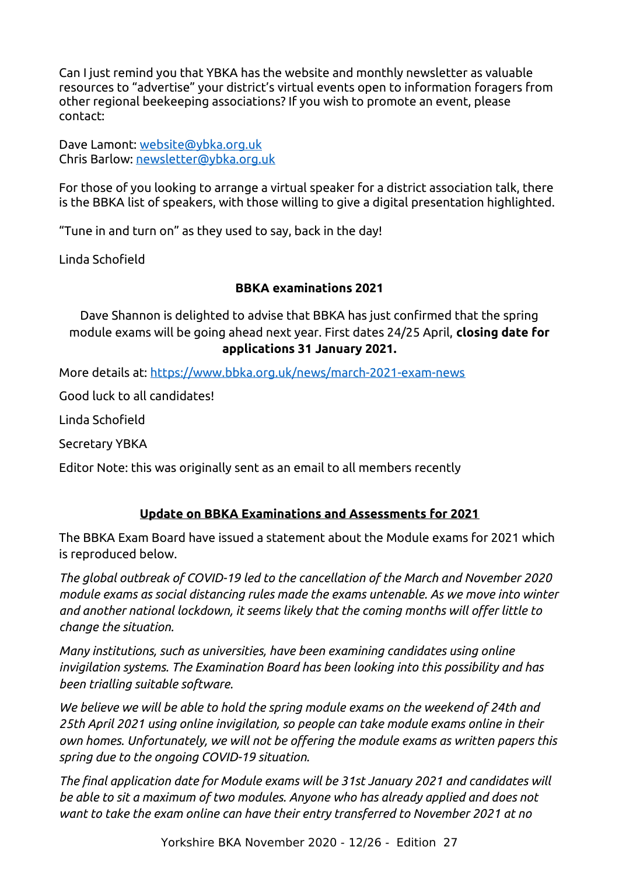Can I just remind you that YBKA has the website and monthly newsletter as valuable resources to "advertise" your district's virtual events open to information foragers from other regional beekeeping associations? If you wish to promote an event, please contact:

Dave Lamont: [website@ybka.org.uk](mailto:website@ybka.org.uk) Chris Barlow: newsletter@ybka.org.uk

For those of you looking to arrange a virtual speaker for a district association talk, there is the BBKA list of speakers, with those willing to give a digital presentation highlighted.

"Tune in and turn on" as they used to say, back in the day!

Linda Schofield

#### <span id="page-11-0"></span>**BBKA examinations 2021**

Dave Shannon is delighted to advise that BBKA has just confirmed that the spring module exams will be going ahead next year. First dates 24/25 April, **closing date for applications 31 January 2021.**

More details at: [https://www.bbka.org.uk/news/march-2021-exam-news](http://link.membershipservices.org.uk/ls/click?upn=qlsqTDJUhdcbONin573WnsjZHXeWWMeiZGb-2FhFT2etJfGnw5HfUTBIOTEW1DViW9gRCGcEDZWXXZMzzpbvL1-2Bw-3D-3DTbQ1_WaGWCl8ZicchHYPzLe-2BL2RvOY9hbi-2BD-2Ben1N2YEU8dLV-2BqHmGGF10PlshGj6xcEyq8Wc8zMFeEafsXCcuGyyCqXbVBUZ8-2Bsy-2F0mj0SLlQYW3IpBSpK2q1spxgo9ZRmM-2F1qA6SF33EuebcE-2BD020pWYChddwtOH-2FOtx5QoRZzSsg8APNzN5xd2lf3m7tImvAbx1lRmddRNsQNP87TXsBbIYF0c-2FPzo9bX-2FNN-2BBsSuMH23HW8Pxri7Ks12x-2F4R2vmlwXqeA-2FPWyvkih5fIqhvcw-2FPXSRe-2FOgCHpi2peFt8Sz8b3oQUVJBWn5CvLSvL5d3Dfop-2FW8PvbrCMpgbX9gyanQ-3D-3D)

Good luck to all candidates!

Linda Schofield

Secretary YBKA

Editor Note: this was originally sent as an email to all members recently

# **Update on BBKA Examinations and Assessments for 2021**

The BBKA Exam Board have issued a statement about the Module exams for 2021 which is reproduced below.

*The global outbreak of COVID-19 led to the cancellation of the March and November 2020 module exams as social distancing rules made the exams untenable. As we move into winter and another national lockdown, it seems likely that the coming months will offer little to change the situation.*

*Many institutions, such as universities, have been examining candidates using online invigilation systems. The Examination Board has been looking into this possibility and has been trialling suitable software.*

*We believe we will be able to hold the spring module exams on the weekend of 24th and 25th April 2021 using online invigilation, so people can take module exams online in their own homes. Unfortunately, we will not be offering the module exams as written papers this spring due to the ongoing COVID-19 situation.*

*The final application date for Module exams will be 31st January 2021 and candidates will be able to sit a maximum of two modules. Anyone who has already applied and does not want to take the exam online can have their entry transferred to November 2021 at no*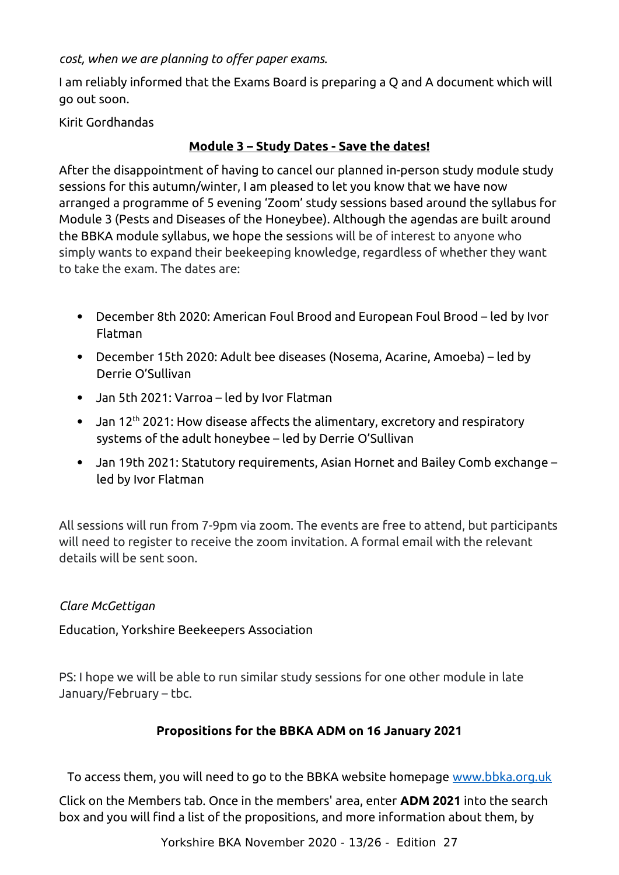*cost, when we are planning to offer paper exams.*

I am reliably informed that the Exams Board is preparing a Q and A document which will go out soon.

Kirit Gordhandas

# <span id="page-12-0"></span>**Module 3 – Study Dates - Save the dates!**

After the disappointment of having to cancel our planned in-person study module study sessions for this autumn/winter, I am pleased to let you know that we have now arranged a programme of 5 evening 'Zoom' study sessions based around the syllabus for Module 3 (Pests and Diseases of the Honeybee). Although the agendas are built around the BBKA module syllabus, we hope the sessions will be of interest to anyone who simply wants to expand their beekeeping knowledge, regardless of whether they want to take the exam. The dates are:

- December 8th 2020: American Foul Brood and European Foul Brood led by Ivor Flatman
- December 15th 2020: Adult bee diseases (Nosema, Acarine, Amoeba) led by Derrie O'Sullivan
- Jan 5th 2021: Varroa led by Ivor Flatman
- Jan 12<sup>th</sup> 2021: How disease affects the alimentary, excretory and respiratory systems of the adult honeybee – led by Derrie O'Sullivan
- Jan 19th 2021: Statutory requirements, Asian Hornet and Bailey Comb exchange led by Ivor Flatman

All sessions will run from 7-9pm via zoom. The events are free to attend, but participants will need to register to receive the zoom invitation. A formal email with the relevant details will be sent soon.

# *Clare McGettigan*

Education, Yorkshire Beekeepers Association

PS: I hope we will be able to run similar study sessions for one other module in late January/February – tbc.

# <span id="page-12-1"></span>**Propositions for the BBKA ADM on 16 January 2021**

To access them, you will need to go to the BBKA website homepage [www.bbka.org.uk](http://www.bbka.org.uk/)

Click on the Members tab. Once in the members' area, enter **ADM 2021** into the search box and you will find a list of the propositions, and more information about them, by

Yorkshire BKA November 2020 - 13/26 - Edition 27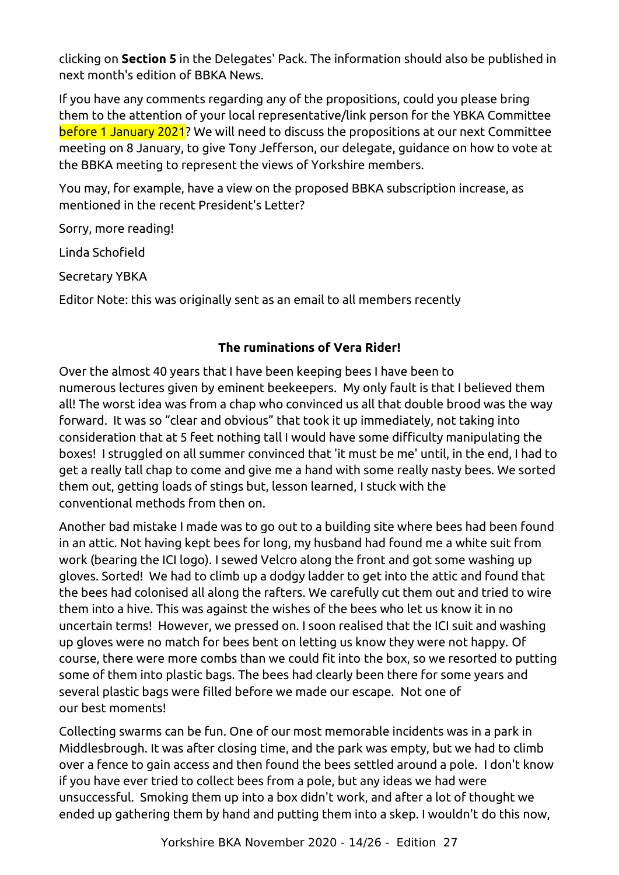clicking on **Section 5** in the Delegates' Pack. The information should also be published in next month's edition of BBKA News.

If you have any comments regarding any of the propositions, could you please bring them to the attention of your local representative/link person for the YBKA Committee before 1 January 2021? We will need to discuss the propositions at our next Committee meeting on 8 January, to give Tony Jefferson, our delegate, guidance on how to vote at the BBKA meeting to represent the views of Yorkshire members.

You may, for example, have a view on the proposed BBKA subscription increase, as mentioned in the recent President's Letter?

Sorry, more reading!

Linda Schofield

Secretary YBKA

Editor Note: this was originally sent as an email to all members recently

# **The ruminations of Vera Rider!**

Over the almost 40 years that I have been keeping bees I have been to numerous lectures given by eminent beekeepers. My only fault is that I believed them all! The worst idea was from a chap who convinced us all that double brood was the way forward. It was so "clear and obvious" that took it up immediately, not taking into consideration that at 5 feet nothing tall I would have some difficulty manipulating the boxes! I struggled on all summer convinced that 'it must be me' until, in the end, I had to get a really tall chap to come and give me a hand with some really nasty bees. We sorted them out, getting loads of stings but, lesson learned, I stuck with the conventional methods from then on.

<span id="page-13-0"></span>Another bad mistake I made was to go out to a building site where bees had been found in an attic. Not having kept bees for long, my husband had found me a white suit from work (bearing the ICI logo). I sewed Velcro along the front and got some washing up gloves. Sorted! We had to climb up a dodgy ladder to get into the attic and found that the bees had colonised all along the rafters. We carefully cut them out and tried to wire them into a hive. This was against the wishes of the bees who let us know it in no uncertain terms! However, we pressed on. I soon realised that the ICI suit and washing up gloves were no match for bees bent on letting us know they were not happy. Of course, there were more combs than we could fit into the box, so we resorted to putting some of them into plastic bags. The bees had clearly been there for some years and several plastic bags were filled before we made our escape. Not one of our best moments!

Collecting swarms can be fun. One of our most memorable incidents was in a park in Middlesbrough. It was after closing time, and the park was empty, but we had to climb over a fence to gain access and then found the bees settled around a pole. I don't know if you have ever tried to collect bees from a pole, but any ideas we had were unsuccessful. Smoking them up into a box didn't work, and after a lot of thought we ended up gathering them by hand and putting them into a skep. I wouldn't do this now,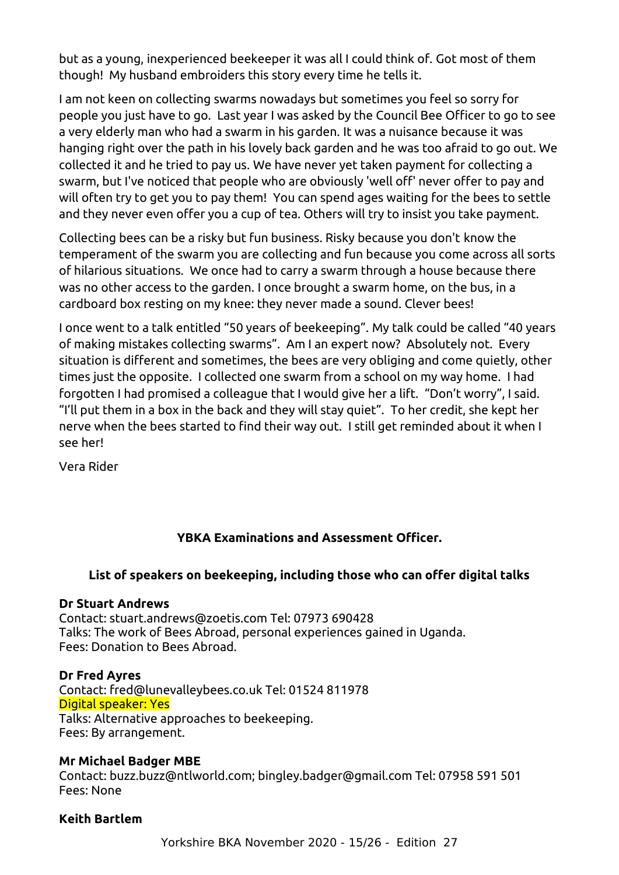but as a young, inexperienced beekeeper it was all I could think of. Got most of them though! My husband embroiders this story every time he tells it.

I am not keen on collecting swarms nowadays but sometimes you feel so sorry for people you just have to go. Last year I was asked by the Council Bee Officer to go to see a very elderly man who had a swarm in his garden. It was a nuisance because it was hanging right over the path in his lovely back garden and he was too afraid to go out. We collected it and he tried to pay us. We have never yet taken payment for collecting a swarm, but I've noticed that people who are obviously 'well off' never offer to pay and will often try to get you to pay them! You can spend ages waiting for the bees to settle and they never even offer you a cup of tea. Others will try to insist you take payment.

Collecting bees can be a risky but fun business. Risky because you don't know the temperament of the swarm you are collecting and fun because you come across all sorts of hilarious situations. We once had to carry a swarm through a house because there was no other access to the garden. I once brought a swarm home, on the bus, in a cardboard box resting on my knee: they never made a sound. Clever bees!

I once went to a talk entitled "50 years of beekeeping". My talk could be called "40 years of making mistakes collecting swarms". Am I an expert now? Absolutely not. Every situation is different and sometimes, the bees are very obliging and come quietly, other times just the opposite. I collected one swarm from a school on my way home. I had forgotten I had promised a colleague that I would give her a lift. "Don't worry", I said. "I'll put them in a box in the back and they will stay quiet". To her credit, she kept her nerve when the bees started to find their way out. I still get reminded about it when I see her!

Vera Rider

# **YBKA Examinations and Assessment Officer.**

#### **List of speakers on beekeeping, including those who can offer digital talks**

#### **Dr Stuart Andrews**

Contact: stuart.andrews@zoetis.com Tel: 07973 690428 Talks: The work of Bees Abroad, personal experiences gained in Uganda. Fees: Donation to Bees Abroad.

#### **Dr Fred Ayres**

<span id="page-14-0"></span>Contact: fred@lunevalleybees.co.uk Tel: 01524 811978 Digital speaker: Yes Talks: Alternative approaches to beekeeping. Fees: By arrangement.

#### **Mr Michael Badger MBE**

Contact: buzz.buzz@ntlworld.com; bingley.badger@gmail.com Tel: 07958 591 501 Fees: None

#### **Keith Bartlem**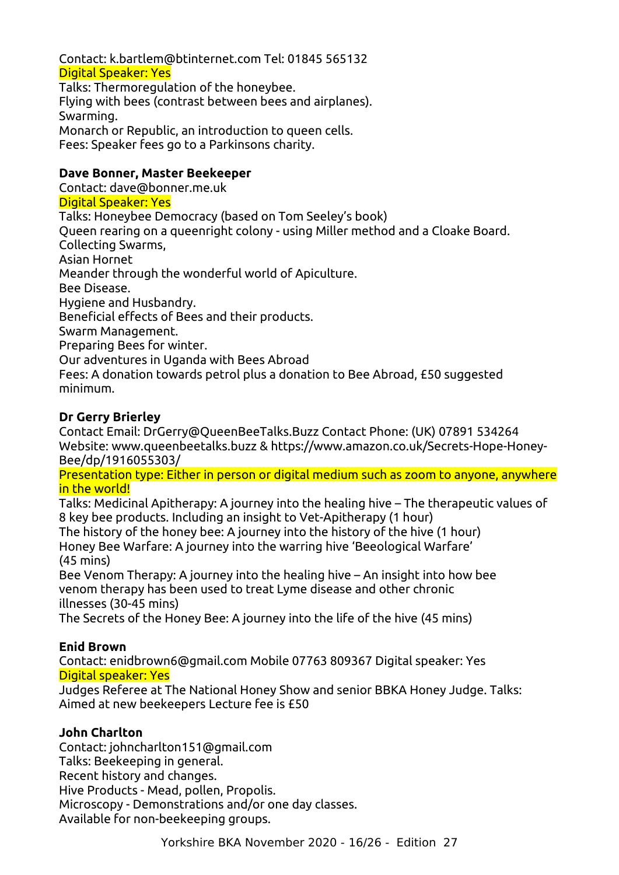Contact: k.bartlem@btinternet.com Tel: 01845 565132 Digital Speaker: Yes

Talks: Thermoregulation of the honeybee. Flying with bees (contrast between bees and airplanes). Swarming. Monarch or Republic, an introduction to queen cells. Fees: Speaker fees go to a Parkinsons charity.

#### **Dave Bonner, Master Beekeeper**

Contact: dave@bonner.me.uk Digital Speaker: Yes Talks: Honeybee Democracy (based on Tom Seeley's book) Queen rearing on a queenright colony - using Miller method and a Cloake Board. Collecting Swarms, Asian Hornet Meander through the wonderful world of Apiculture. Bee Disease. Hygiene and Husbandry. Beneficial effects of Bees and their products. Swarm Management. Preparing Bees for winter. Our adventures in Uganda with Bees Abroad Fees: A donation towards petrol plus a donation to Bee Abroad, £50 suggested minimum.

#### **Dr Gerry Brierley**

Contact Email: DrGerry@QueenBeeTalks.Buzz Contact Phone: (UK) 07891 534264 Website: www.queenbeetalks.buzz & https://www.amazon.co.uk/Secrets-Hope-Honey-Bee/dp/1916055303/

Presentation type: Either in person or digital medium such as zoom to anyone, anywhere in the world!

Talks: Medicinal Apitherapy: A journey into the healing hive – The therapeutic values of 8 key bee products. Including an insight to Vet-Apitherapy (1 hour) The history of the honey bee: A journey into the history of the hive (1 hour)

Honey Bee Warfare: A journey into the warring hive 'Beeological Warfare' (45 mins)

Bee Venom Therapy: A journey into the healing hive – An insight into how bee venom therapy has been used to treat Lyme disease and other chronic illnesses (30-45 mins)

The Secrets of the Honey Bee: A journey into the life of the hive (45 mins)

#### **Enid Brown**

Contact: enidbrown6@gmail.com Mobile 07763 809367 Digital speaker: Yes Digital speaker: Yes

Judges Referee at The National Honey Show and senior BBKA Honey Judge. Talks: Aimed at new beekeepers Lecture fee is £50

#### **John Charlton**

Contact: johncharlton151@gmail.com Talks: Beekeeping in general. Recent history and changes. Hive Products - Mead, pollen, Propolis. Microscopy - Demonstrations and/or one day classes. Available for non-beekeeping groups.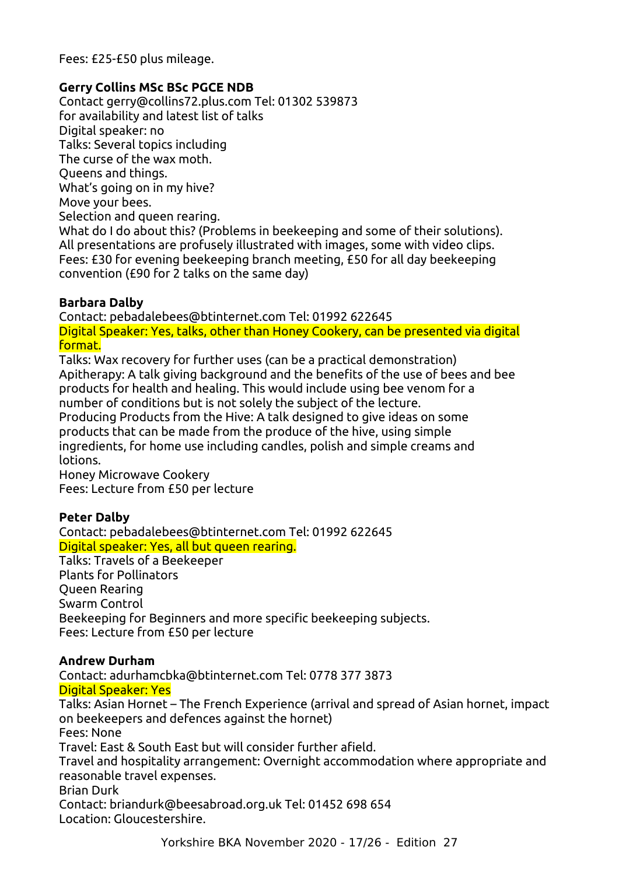Fees: £25-£50 plus mileage.

#### **Gerry Collins MSc BSc PGCE NDB**

Contact gerry@collins72.plus.com Tel: 01302 539873 for availability and latest list of talks Digital speaker: no Talks: Several topics including The curse of the wax moth. Queens and things. What's going on in my hive? Move your bees. Selection and queen rearing. What do I do about this? (Problems in beekeeping and some of their solutions). All presentations are profusely illustrated with images, some with video clips. Fees: £30 for evening beekeeping branch meeting, £50 for all day beekeeping convention (£90 for 2 talks on the same day)

#### **Barbara Dalby**

Contact: pebadalebees@btinternet.com Tel: 01992 622645 Digital Speaker: Yes, talks, other than Honey Cookery, can be presented via digital format.

Talks: Wax recovery for further uses (can be a practical demonstration) Apitherapy: A talk giving background and the benefits of the use of bees and bee products for health and healing. This would include using bee venom for a number of conditions but is not solely the subject of the lecture. Producing Products from the Hive: A talk designed to give ideas on some products that can be made from the produce of the hive, using simple ingredients, for home use including candles, polish and simple creams and lotions.

Honey Microwave Cookery Fees: Lecture from £50 per lecture

#### **Peter Dalby**

Contact: pebadalebees@btinternet.com Tel: 01992 622645 Digital speaker: Yes, all but queen rearing.

Talks: Travels of a Beekeeper Plants for Pollinators Queen Rearing

Swarm Control Beekeeping for Beginners and more specific beekeeping subjects. Fees: Lecture from £50 per lecture

#### **Andrew Durham**

Contact: adurhamcbka@btinternet.com Tel: 0778 377 3873 Digital Speaker: Yes Talks: Asian Hornet – The French Experience (arrival and spread of Asian hornet, impact on beekeepers and defences against the hornet) Fees: None Travel: East & South East but will consider further afield. Travel and hospitality arrangement: Overnight accommodation where appropriate and reasonable travel expenses. Brian Durk Contact: briandurk@beesabroad.org.uk Tel: 01452 698 654 Location: Gloucestershire.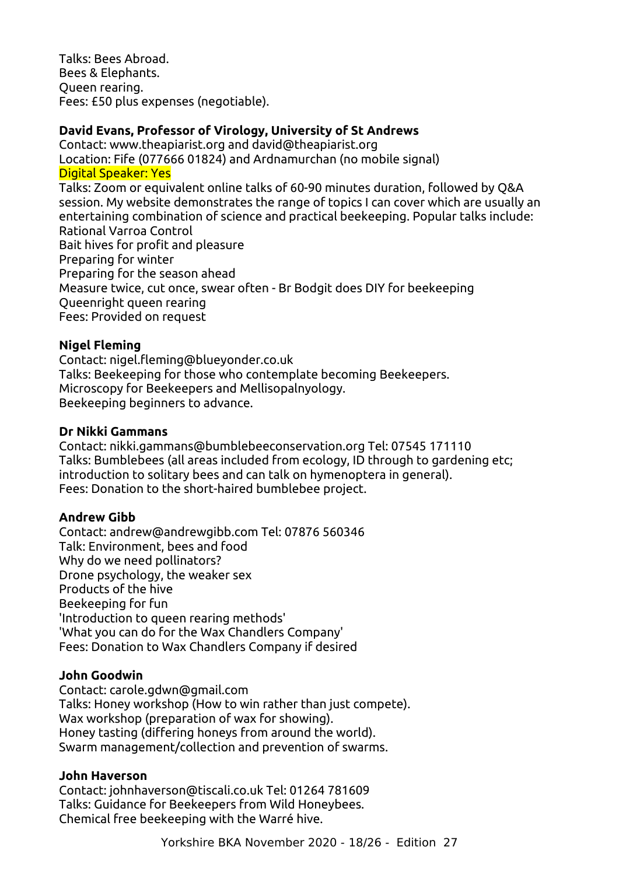Talks: Bees Abroad. Bees & Elephants. Queen rearing. Fees: £50 plus expenses (negotiable).

#### **David Evans, Professor of Virology, University of St Andrews**

Contact: www.theapiarist.org and david@theapiarist.org Location: Fife (077666 01824) and Ardnamurchan (no mobile signal) Digital Speaker: Yes Talks: Zoom or equivalent online talks of 60-90 minutes duration, followed by Q&A session. My website demonstrates the range of topics I can cover which are usually an entertaining combination of science and practical beekeeping. Popular talks include: Rational Varroa Control Bait hives for profit and pleasure Preparing for winter Preparing for the season ahead Measure twice, cut once, swear often - Br Bodgit does DIY for beekeeping Queenright queen rearing Fees: Provided on request

#### **Nigel Fleming**

Contact: nigel.fleming@blueyonder.co.uk Talks: Beekeeping for those who contemplate becoming Beekeepers. Microscopy for Beekeepers and Mellisopalnyology. Beekeeping beginners to advance.

#### **Dr Nikki Gammans**

Contact: nikki.gammans@bumblebeeconservation.org Tel: 07545 171110 Talks: Bumblebees (all areas included from ecology, ID through to gardening etc; introduction to solitary bees and can talk on hymenoptera in general). Fees: Donation to the short-haired bumblebee project.

#### **Andrew Gibb**

Contact: andrew@andrewgibb.com Tel: 07876 560346 Talk: Environment, bees and food Why do we need pollinators? Drone psychology, the weaker sex Products of the hive Beekeeping for fun 'Introduction to queen rearing methods' 'What you can do for the Wax Chandlers Company' Fees: Donation to Wax Chandlers Company if desired

#### **John Goodwin**

Contact: carole.gdwn@gmail.com Talks: Honey workshop (How to win rather than just compete). Wax workshop (preparation of wax for showing). Honey tasting (differing honeys from around the world). Swarm management/collection and prevention of swarms.

#### **John Haverson**

Contact: johnhaverson@tiscali.co.uk Tel: 01264 781609 Talks: Guidance for Beekeepers from Wild Honeybees. Chemical free beekeeping with the Warré hive.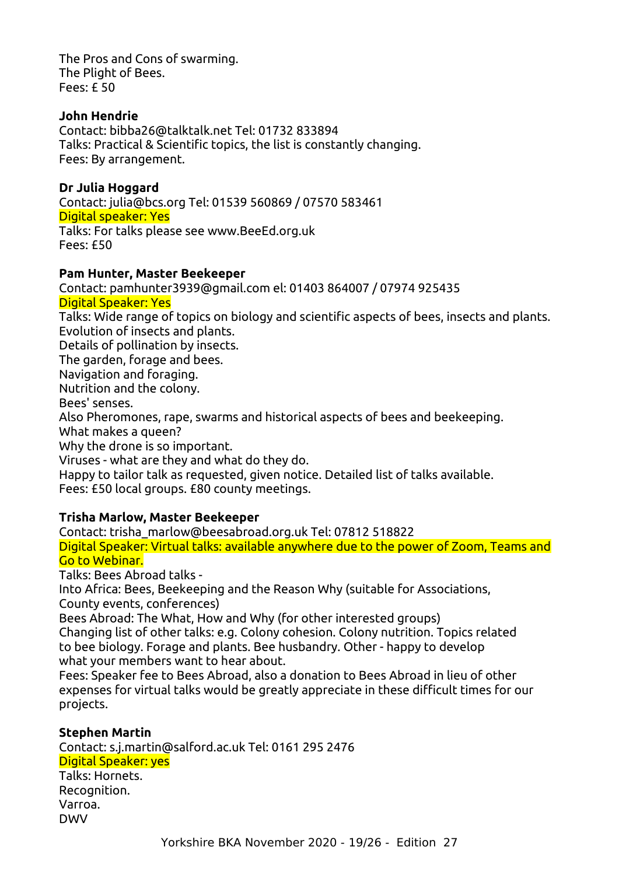The Pros and Cons of swarming. The Plight of Bees. Fees: £ 50

#### **John Hendrie**

Contact: bibba26@talktalk.net Tel: 01732 833894 Talks: Practical & Scientific topics, the list is constantly changing. Fees: By arrangement.

#### **Dr Julia Hoggard**

Contact: julia@bcs.org Tel: 01539 560869 / 07570 583461 Digital speaker: Yes Talks: For talks please see www.BeeEd.org.uk

Fees: £50

#### **Pam Hunter, Master Beekeeper**

Contact: pamhunter3939@gmail.com el: 01403 864007 / 07974 925435

#### Digital Speaker: Yes

Talks: Wide range of topics on biology and scientific aspects of bees, insects and plants. Evolution of insects and plants.

Details of pollination by insects.

The garden, forage and bees.

Navigation and foraging.

Nutrition and the colony.

Bees' senses.

Also Pheromones, rape, swarms and historical aspects of bees and beekeeping.

What makes a queen?

Why the drone is so important.

Viruses - what are they and what do they do.

Happy to tailor talk as requested, given notice. Detailed list of talks available. Fees: £50 local groups. £80 county meetings.

#### **Trisha Marlow, Master Beekeeper**

Contact: trisha\_marlow@beesabroad.org.uk Tel: 07812 518822 Digital Speaker: Virtual talks: available anywhere due to the power of Zoom, Teams and Go to Webinar.

Talks: Bees Abroad talks -

Into Africa: Bees, Beekeeping and the Reason Why (suitable for Associations, County events, conferences)

Bees Abroad: The What, How and Why (for other interested groups) Changing list of other talks: e.g. Colony cohesion. Colony nutrition. Topics related to bee biology. Forage and plants. Bee husbandry. Other - happy to develop what your members want to hear about.

Fees: Speaker fee to Bees Abroad, also a donation to Bees Abroad in lieu of other expenses for virtual talks would be greatly appreciate in these difficult times for our projects.

#### **Stephen Martin**

Contact: s.j.martin@salford.ac.uk Tel: 0161 295 2476 Digital Speaker: yes

Talks: Hornets. Recognition. Varroa. DWV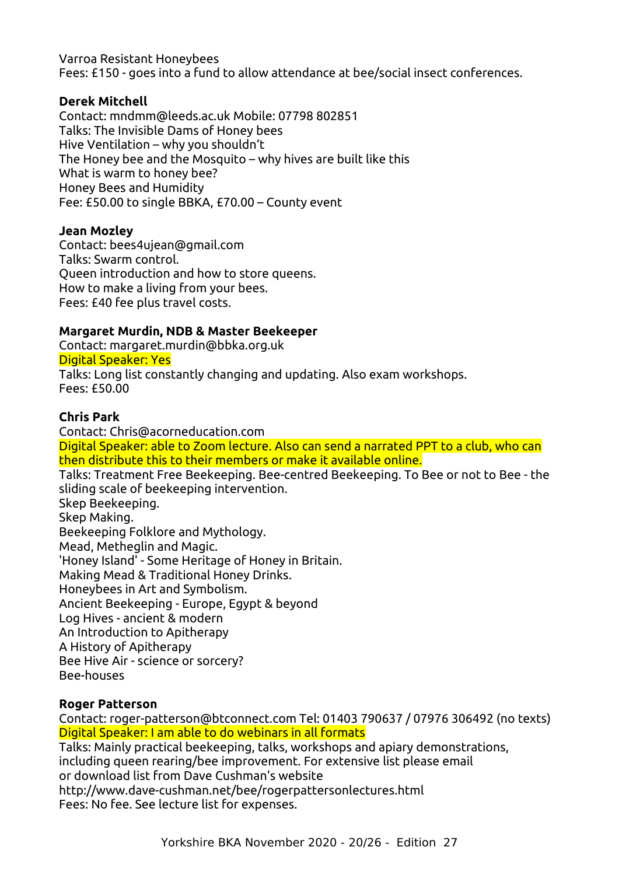Varroa Resistant Honeybees Fees: £150 - goes into a fund to allow attendance at bee/social insect conferences.

#### **Derek Mitchell**

Contact: mndmm@leeds.ac.uk Mobile: 07798 802851 Talks: The Invisible Dams of Honey bees Hive Ventilation – why you shouldn't The Honey bee and the Mosquito – why hives are built like this What is warm to honey bee? Honey Bees and Humidity Fee: £50.00 to single BBKA, £70.00 – County event

#### **Jean Mozley**

Contact: bees4ujean@gmail.com Talks: Swarm control. Queen introduction and how to store queens. How to make a living from your bees. Fees: £40 fee plus travel costs.

#### **Margaret Murdin, NDB & Master Beekeeper**

Contact: margaret.murdin@bbka.org.uk Digital Speaker: Yes Talks: Long list constantly changing and updating. Also exam workshops. Fees: £50.00

#### **Chris Park**

Contact: Chris@acorneducation.com Digital Speaker: able to Zoom lecture. Also can send a narrated PPT to a club, who can then distribute this to their members or make it available online. Talks: Treatment Free Beekeeping. Bee-centred Beekeeping. To Bee or not to Bee - the sliding scale of beekeeping intervention. Skep Beekeeping. Skep Making. Beekeeping Folklore and Mythology. Mead, Metheglin and Magic. 'Honey Island' - Some Heritage of Honey in Britain. Making Mead & Traditional Honey Drinks. Honeybees in Art and Symbolism. Ancient Beekeeping - Europe, Egypt & beyond Log Hives - ancient & modern An Introduction to Apitherapy A History of Apitherapy Bee Hive Air - science or sorcery? Bee-houses

#### **Roger Patterson**

Contact: roger-patterson@btconnect.com Tel: 01403 790637 / 07976 306492 (no texts) Digital Speaker: I am able to do webinars in all formats

Talks: Mainly practical beekeeping, talks, workshops and apiary demonstrations, including queen rearing/bee improvement. For extensive list please email or download list from Dave Cushman's website http://www.dave-cushman.net/bee/rogerpattersonlectures.html

Fees: No fee. See lecture list for expenses.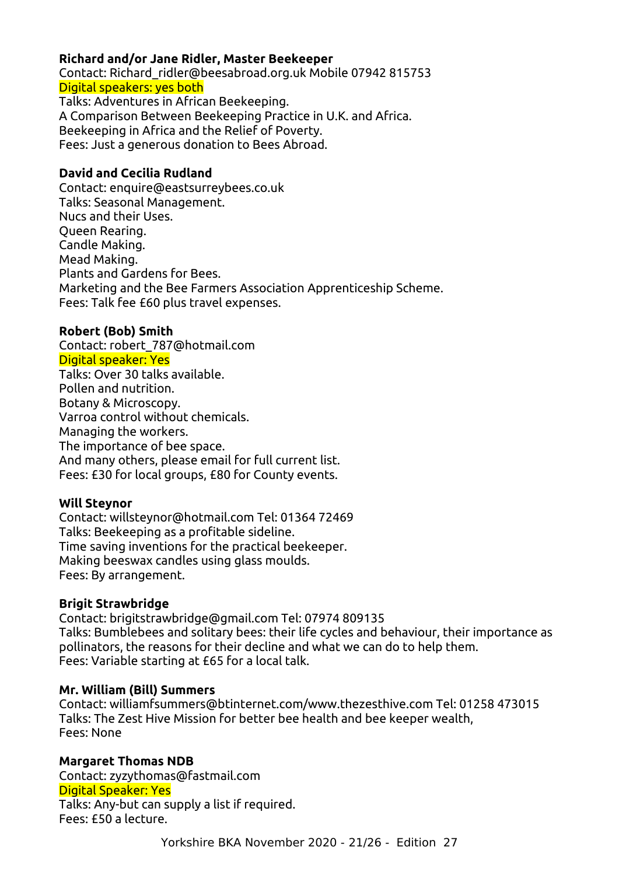#### **Richard and/or Jane Ridler, Master Beekeeper**

Contact: Richard\_ridler@beesabroad.org.uk Mobile 07942 815753 Digital speakers: yes both Talks: Adventures in African Beekeeping. A Comparison Between Beekeeping Practice in U.K. and Africa. Beekeeping in Africa and the Relief of Poverty.

Fees: Just a generous donation to Bees Abroad.

#### **David and Cecilia Rudland**

Contact: enquire@eastsurreybees.co.uk Talks: Seasonal Management. Nucs and their Uses. Queen Rearing. Candle Making. Mead Making. Plants and Gardens for Bees. Marketing and the Bee Farmers Association Apprenticeship Scheme. Fees: Talk fee £60 plus travel expenses.

#### **Robert (Bob) Smith**

Contact: robert\_787@hotmail.com Digital speaker: Yes Talks: Over 30 talks available. Pollen and nutrition. Botany & Microscopy. Varroa control without chemicals. Managing the workers. The importance of bee space. And many others, please email for full current list. Fees: £30 for local groups, £80 for County events.

#### **Will Steynor**

Contact: willsteynor@hotmail.com Tel: 01364 72469 Talks: Beekeeping as a profitable sideline. Time saving inventions for the practical beekeeper. Making beeswax candles using glass moulds. Fees: By arrangement.

#### **Brigit Strawbridge**

Contact: brigitstrawbridge@gmail.com Tel: 07974 809135 Talks: Bumblebees and solitary bees: their life cycles and behaviour, their importance as pollinators, the reasons for their decline and what we can do to help them. Fees: Variable starting at £65 for a local talk.

#### **Mr. William (Bill) Summers**

Contact: williamfsummers@btinternet.com/www.thezesthive.com Tel: 01258 473015 Talks: The Zest Hive Mission for better bee health and bee keeper wealth, Fees: None

**Margaret Thomas NDB** Contact: zyzythomas@fastmail.com Digital Speaker: Yes Talks: Any-but can supply a list if required. Fees: £50 a lecture.

Yorkshire BKA November 2020 - 21/26 - Edition 27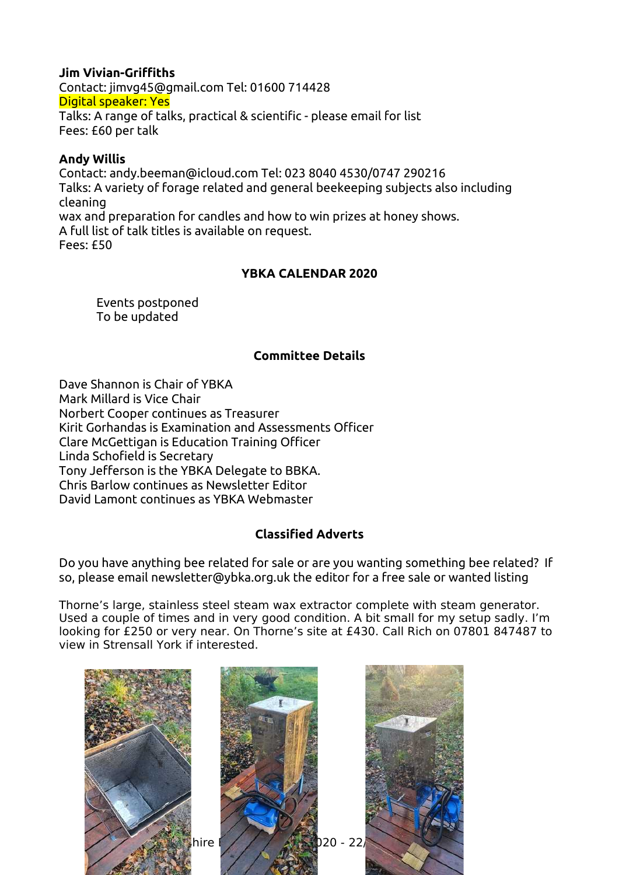#### **Jim Vivian-Griffiths**

Contact: jimvg45@gmail.com Tel: 01600 714428 Digital speaker: Yes Talks: A range of talks, practical & scientific - please email for list Fees: £60 per talk

#### **Andy Willis**

Contact: andy.beeman@icloud.com Tel: 023 8040 4530/0747 290216 Talks: A variety of forage related and general beekeeping subjects also including cleaning wax and preparation for candles and how to win prizes at honey shows. A full list of talk titles is available on request. Fees: £50

#### **YBKA CALENDAR 2020**

Events postponed To be updated

#### <span id="page-21-1"></span>**Committee Details**

Dave Shannon is Chair of YBKA Mark Millard is Vice Chair Norbert Cooper continues as Treasurer Kirit Gorhandas is Examination and Assessments Officer Clare McGettigan is Education Training Officer Linda Schofield is Secretary Tony Jefferson is the YBKA Delegate to BBKA. Chris Barlow continues as Newsletter Editor David Lamont continues as YBKA Webmaster

#### **Classified Adverts**

<span id="page-21-0"></span>Do you have anything bee related for sale or are you wanting something bee related? If so, please email newsletter@ybka.org.uk the editor for a free sale or wanted listing

Thorne's large, stainless steel steam wax extractor complete with steam generator. Used a couple of times and in very good condition. A bit small for my setup sadly. I'm looking for £250 or very near. On Thorne's site at £430. Call Rich on 07801 847487 to view in Strensall York if interested.

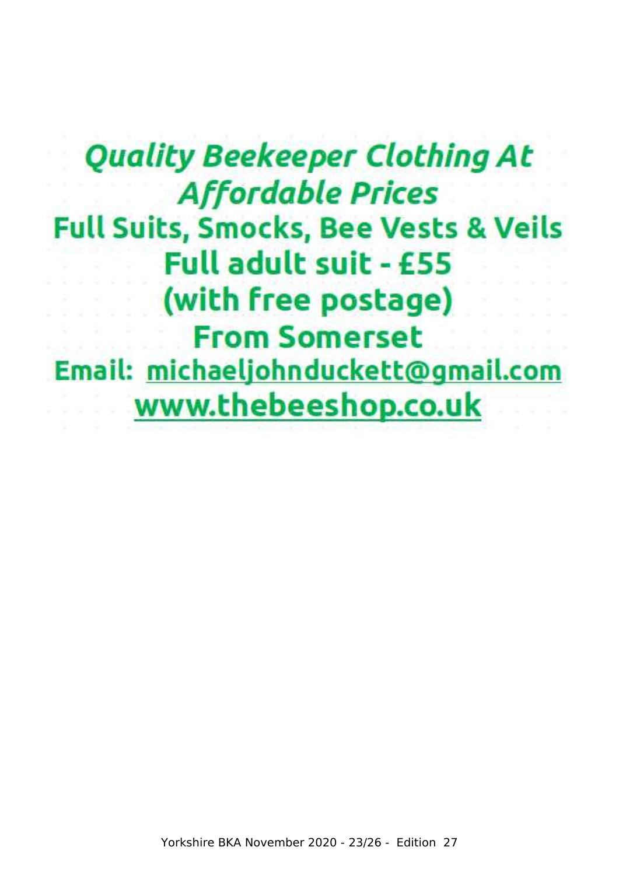# **Quality Beekeeper Clothing At Affordable Prices Full Suits, Smocks, Bee Vests & Veils** Full adult suit - £55 (with free postage) **From Somerset** Email: michaeljohnduckett@gmail.com www.thebeeshop.co.uk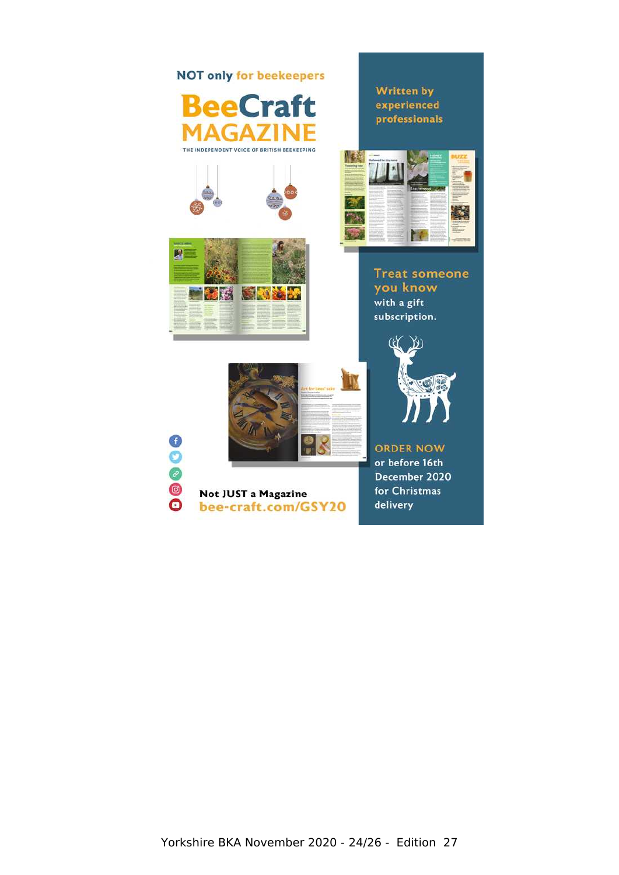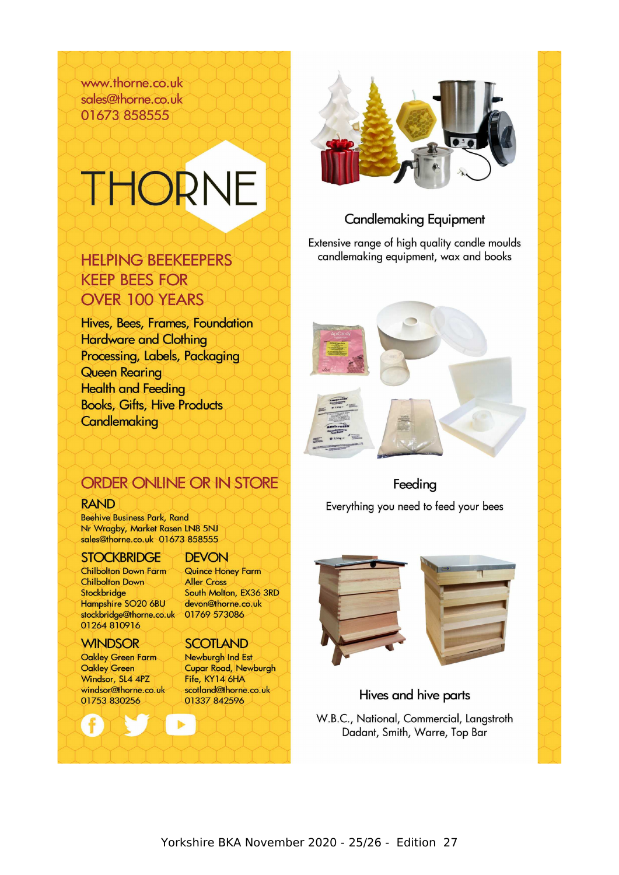www.thorne.co.uk sales@thorne.co.uk 01673 858555

# THORNE

# **HELPING BEEKEEPERS KEEP BEES FOR OVER 100 YEARS**

Hives, Bees, Frames, Foundation **Hardware and Clothing** Processing, Labels, Packaging Queen Rearina **Health and Feeding Books, Gifts, Hive Products Candlemaking** 



# **Candlemaking Equipment**

Extensive range of high quality candle moulds candlemaking equipment, wax and books



Feeding

Everything you need to feed your bees

# ORDER ONLINE OR IN STORE

#### **RAND**

**Beehive Business Park, Rand** Nr Wragby, Market Rasen LN8 5NJ sales@thorne.co.uk 01673 858555

#### **STOCKBRIDGE**

**Chilbolton Down Farm Chilbolton Down** Stockbridge Hampshire SO20 6BU stockbridge@thorne.co.uk 01264 810916

# **WINDSOR**

Oakley Green Farm **Oakley Green** Windsor, SL4 4PZ windsor@thorne.co.uk 01753 830256

#### **DFVON**

Quince Honey Farm **Aller Cross** South Molton, EX36 3RD devon@thorne.co.uk 01769 573086

#### **SCOTLAND**

Newburgh Ind Est **Cupar Road, Newburgh** Fife, KY14 6HA scotland@thorne.co.uk 01337 842596



# Hives and hive parts

W.B.C., National, Commercial, Langstroth Dadant, Smith, Warre, Top Bar